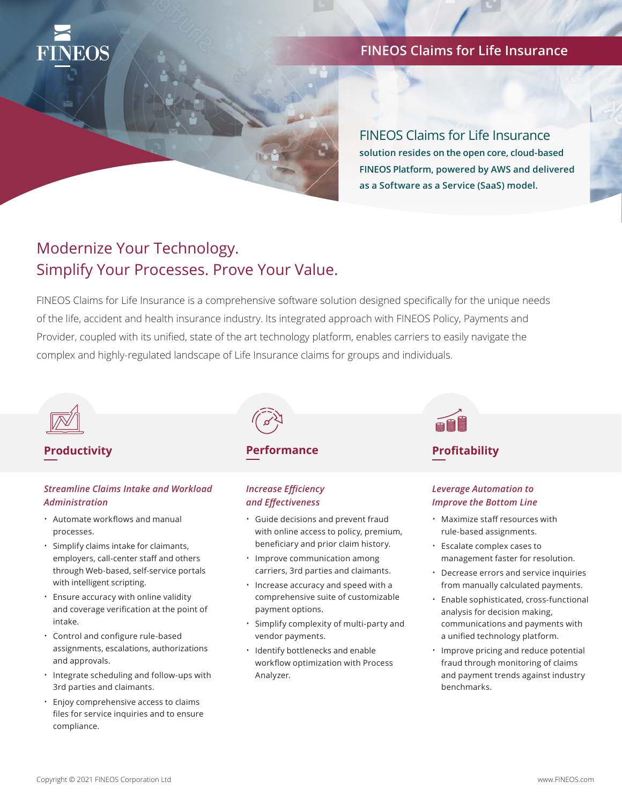

### **FINEOS Claims for Life Insurance**

FINEOS Claims for Life Insurance **solution resides on the open core, cloud-based FINEOS Platform, powered by AWS and delivered** 

**as a Software as a Service (SaaS) model.** 

# Modernize Your Technology. Simplify Your Processes. Prove Your Value.

FINEOS Claims for Life Insurance is a comprehensive software solution designed specifically for the unique needs of the life, accident and health insurance industry. Its integrated approach with FINEOS Policy, Payments and Provider, coupled with its unified, state of the art technology platform, enables carriers to easily navigate the complex and highly-regulated landscape of Life Insurance claims for groups and individuals.



### *Streamline Claims Intake and Workload Administration*

- Automate workflows and manual processes.
- Simplify claims intake for claimants, employers, call-center staff and others through Web-based, self-service portals with intelligent scripting.
- Ensure accuracy with online validity and coverage verification at the point of intake.
- Control and configure rule-based assignments, escalations, authorizations and approvals.
- Integrate scheduling and follow-ups with 3rd parties and claimants.
- Enjoy comprehensive access to claims files for service inquiries and to ensure compliance.

#### **Productivity Profitability Productivity Profitability Performance**

### *Increase Efficiency and Effectiveness*

- Guide decisions and prevent fraud with online access to policy, premium, beneficiary and prior claim history.
- Improve communication among carriers, 3rd parties and claimants.
- Increase accuracy and speed with a comprehensive suite of customizable payment options.
- Simplify complexity of multi-party and vendor payments.
- Identify bottlenecks and enable workflow optimization with Process Analyzer.



### *Leverage Automation to Improve the Bottom Line*

- Maximize staff resources with rule-based assignments.
- Escalate complex cases to management faster for resolution.
- Decrease errors and service inquiries from manually calculated payments.
- Enable sophisticated, cross-functional analysis for decision making, communications and payments with a unified technology platform.
- Improve pricing and reduce potential fraud through monitoring of claims and payment trends against industry benchmarks.